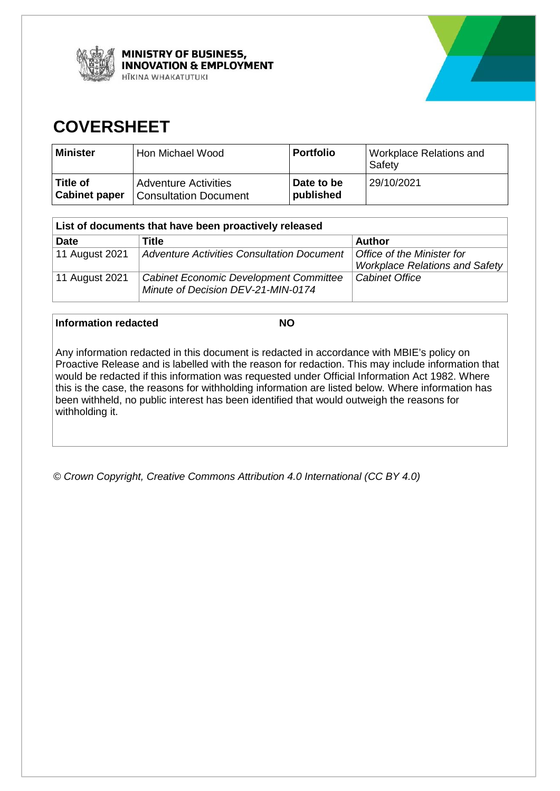



# **COVERSHEET**

| Minister             | Hon Michael Wood             | <b>Portfolio</b> | Workplace Relations and<br>Safety |
|----------------------|------------------------------|------------------|-----------------------------------|
| Title of             | <b>Adventure Activities</b>  | Date to be       | 29/10/2021                        |
| <b>Cabinet paper</b> | <b>Consultation Document</b> | published        |                                   |

| List of documents that have been proactively released |                                                                                     |                                       |  |  |
|-------------------------------------------------------|-------------------------------------------------------------------------------------|---------------------------------------|--|--|
| <b>Date</b>                                           | Title                                                                               | <b>Author</b>                         |  |  |
| 11 August 2021                                        | <b>Adventure Activities Consultation Document</b>                                   | Office of the Minister for            |  |  |
|                                                       |                                                                                     | <b>Workplace Relations and Safety</b> |  |  |
| 11 August 2021                                        | <b>Cabinet Economic Development Committee</b><br>Minute of Decision DEV-21-MIN-0174 | <b>Cabinet Office</b>                 |  |  |

# **Information redacted NO**

Any information redacted in this document is redacted in accordance with MBIE's policy on Proactive Release and is labelled with the reason for redaction. This may include information that would be redacted if this information was requested under Official Information Act 1982. Where this is the case, the reasons for withholding information are listed below. Where information has been withheld, no public interest has been identified that would outweigh the reasons for withholding it.

*© Crown Copyright, Creative Commons Attribution 4.0 International (CC BY 4.0)*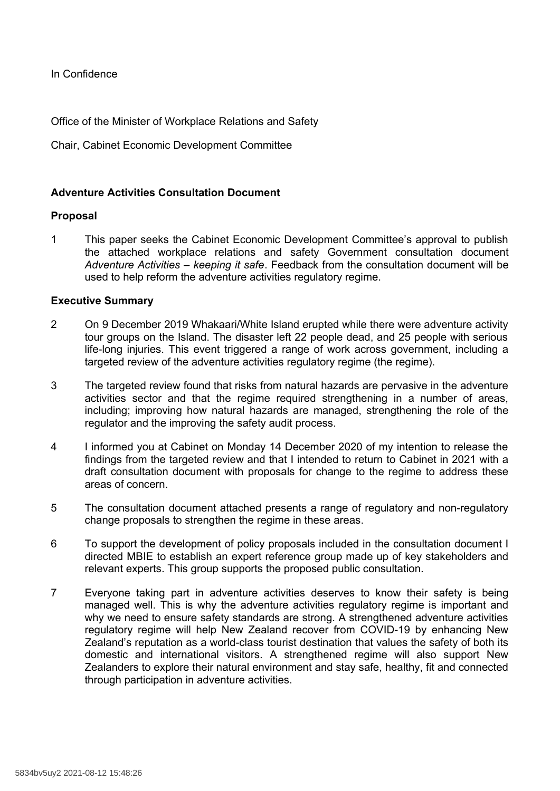In Confidence

Office of the Minister of Workplace Relations and Safety

Chair, Cabinet Economic Development Committee

# **Adventure Activities Consultation Document**

## **Proposal**

1 This paper seeks the Cabinet Economic Development Committee's approval to publish the attached workplace relations and safety Government consultation document *Adventure Activities – keeping it safe*. Feedback from the consultation document will be used to help reform the adventure activities regulatory regime.

## **Executive Summary**

- 2 On 9 December 2019 Whakaari/White Island erupted while there were adventure activity tour groups on the Island. The disaster left 22 people dead, and 25 people with serious life-long injuries. This event triggered a range of work across government, including a targeted review of the adventure activities regulatory regime (the regime).
- 3 The targeted review found that risks from natural hazards are pervasive in the adventure activities sector and that the regime required strengthening in a number of areas, including; improving how natural hazards are managed, strengthening the role of the regulator and the improving the safety audit process.
- 4 I informed you at Cabinet on Monday 14 December 2020 of my intention to release the findings from the targeted review and that I intended to return to Cabinet in 2021 with a draft consultation document with proposals for change to the regime to address these areas of concern.
- 5 The consultation document attached presents a range of regulatory and non-regulatory change proposals to strengthen the regime in these areas.
- 6 To support the development of policy proposals included in the consultation document I directed MBIE to establish an expert reference group made up of key stakeholders and relevant experts. This group supports the proposed public consultation.
- 7 Everyone taking part in adventure activities deserves to know their safety is being managed well. This is why the adventure activities regulatory regime is important and why we need to ensure safety standards are strong. A strengthened adventure activities regulatory regime will help New Zealand recover from COVID-19 by enhancing New Zealand's reputation as a world-class tourist destination that values the safety of both its domestic and international visitors. A strengthened regime will also support New Zealanders to explore their natural environment and stay safe, healthy, fit and connected through participation in adventure activities.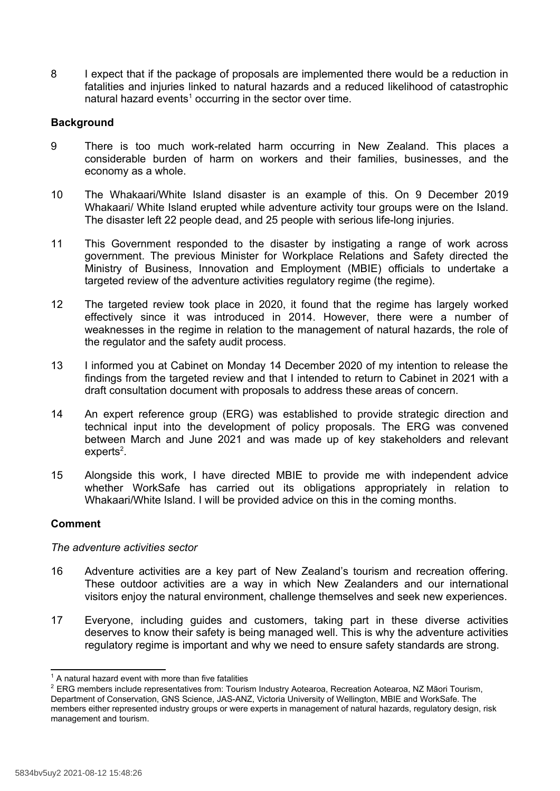8 I expect that if the package of proposals are implemented there would be a reduction in fatalities and injuries linked to natural hazards and a reduced likelihood of catastrophic natural hazard events<sup>1</sup> occurring in the sector over time.

# **Background**

- 9 There is too much work-related harm occurring in New Zealand. This places a considerable burden of harm on workers and their families, businesses, and the economy as a whole.
- 10 The Whakaari/White Island disaster is an example of this. On 9 December 2019 Whakaari/ White Island erupted while adventure activity tour groups were on the Island. The disaster left 22 people dead, and 25 people with serious life-long injuries.
- 11 This Government responded to the disaster by instigating a range of work across government. The previous Minister for Workplace Relations and Safety directed the Ministry of Business, Innovation and Employment (MBIE) officials to undertake a targeted review of the adventure activities regulatory regime (the regime).
- 12 The targeted review took place in 2020, it found that the regime has largely worked effectively since it was introduced in 2014. However, there were a number of weaknesses in the regime in relation to the management of natural hazards, the role of the regulator and the safety audit process.
- 13 I informed you at Cabinet on Monday 14 December 2020 of my intention to release the findings from the targeted review and that I intended to return to Cabinet in 2021 with a draft consultation document with proposals to address these areas of concern.
- 14 An expert reference group (ERG) was established to provide strategic direction and technical input into the development of policy proposals. The ERG was convened between March and June 2021 and was made up of key stakeholders and relevant experts<sup>2</sup>.
- 15 Alongside this work, I have directed MBIE to provide me with independent advice whether WorkSafe has carried out its obligations appropriately in relation to Whakaari/White Island. I will be provided advice on this in the coming months.

## **Comment**

## *The adventure activities sector*

- 16 Adventure activities are a key part of New Zealand's tourism and recreation offering. These outdoor activities are a way in which New Zealanders and our international visitors enjoy the natural environment, challenge themselves and seek new experiences.
- 17 Everyone, including guides and customers, taking part in these diverse activities deserves to know their safety is being managed well. This is why the adventure activities regulatory regime is important and why we need to ensure safety standards are strong.

 $1$  A natural hazard event with more than five fatalities

<sup>2</sup> ERG members include representatives from: Tourism Industry Aotearoa, Recreation Aotearoa, NZ Māori Tourism, Department of Conservation, GNS Science, JAS-ANZ, Victoria University of Wellington, MBIE and WorkSafe. The members either represented industry groups or were experts in management of natural hazards, regulatory design, risk management and tourism.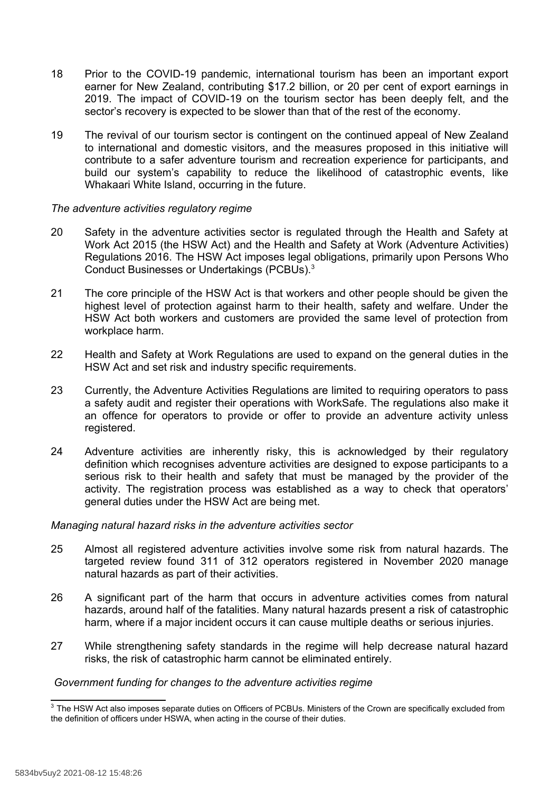- 18 Prior to the COVID-19 pandemic, international tourism has been an important export earner for New Zealand, contributing \$17.2 billion, or 20 per cent of export earnings in 2019. The impact of COVID-19 on the tourism sector has been deeply felt, and the sector's recovery is expected to be slower than that of the rest of the economy.
- 19 The revival of our tourism sector is contingent on the continued appeal of New Zealand to international and domestic visitors, and the measures proposed in this initiative will contribute to a safer adventure tourism and recreation experience for participants, and build our system's capability to reduce the likelihood of catastrophic events, like Whakaari White Island, occurring in the future.

## *The adventure activities regulatory regime*

- 20 Safety in the adventure activities sector is regulated through the Health and Safety at Work Act 2015 (the HSW Act) and the Health and Safety at Work (Adventure Activities) Regulations 2016. The HSW Act imposes legal obligations, primarily upon Persons Who Conduct Businesses or Undertakings (PCBUs).<sup>3</sup>
- 21 The core principle of the HSW Act is that workers and other people should be given the highest level of protection against harm to their health, safety and welfare. Under the HSW Act both workers and customers are provided the same level of protection from workplace harm.
- 22 Health and Safety at Work Regulations are used to expand on the general duties in the HSW Act and set risk and industry specific requirements.
- 23 Currently, the Adventure Activities Regulations are limited to requiring operators to pass a safety audit and register their operations with WorkSafe. The regulations also make it an offence for operators to provide or offer to provide an adventure activity unless registered.
- 24 Adventure activities are inherently risky, this is acknowledged by their regulatory definition which recognises adventure activities are designed to expose participants to a serious risk to their health and safety that must be managed by the provider of the activity. The registration process was established as a way to check that operators' general duties under the HSW Act are being met.

## *Managing natural hazard risks in the adventure activities sector*

- 25 Almost all registered adventure activities involve some risk from natural hazards. The targeted review found 311 of 312 operators registered in November 2020 manage natural hazards as part of their activities.
- 26 A significant part of the harm that occurs in adventure activities comes from natural hazards, around half of the fatalities. Many natural hazards present a risk of catastrophic harm, where if a major incident occurs it can cause multiple deaths or serious injuries.
- 27 While strengthening safety standards in the regime will help decrease natural hazard risks, the risk of catastrophic harm cannot be eliminated entirely.

#### *Government funding for changes to the adventure activities regime*

<sup>&</sup>lt;sup>3</sup> The HSW Act also imposes separate duties on Officers of PCBUs. Ministers of the Crown are specifically excluded from the definition of officers under HSWA, when acting in the course of their duties.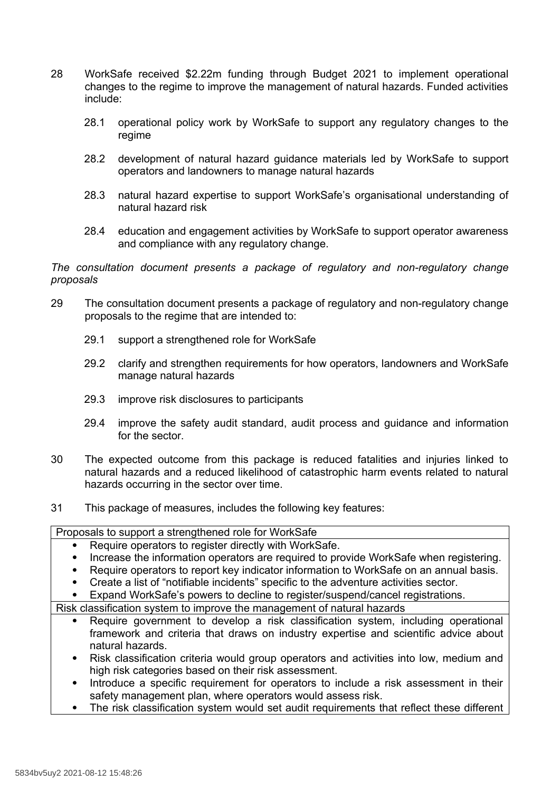- 28 WorkSafe received \$2.22m funding through Budget 2021 to implement operational changes to the regime to improve the management of natural hazards. Funded activities include:
	- 28.1 operational policy work by WorkSafe to support any regulatory changes to the regime
	- 28.2 development of natural hazard guidance materials led by WorkSafe to support operators and landowners to manage natural hazards
	- 28.3 natural hazard expertise to support WorkSafe's organisational understanding of natural hazard risk
	- 28.4 education and engagement activities by WorkSafe to support operator awareness and compliance with any regulatory change.

*The consultation document presents a package of regulatory and non-regulatory change proposals*

- 29 The consultation document presents a package of regulatory and non-regulatory change proposals to the regime that are intended to:
	- 29.1 support a strengthened role for WorkSafe
	- 29.2 clarify and strengthen requirements for how operators, landowners and WorkSafe manage natural hazards
	- 29.3 improve risk disclosures to participants
	- 29.4 improve the safety audit standard, audit process and guidance and information for the sector.
- 30 The expected outcome from this package is reduced fatalities and injuries linked to natural hazards and a reduced likelihood of catastrophic harm events related to natural hazards occurring in the sector over time.
- 31 This package of measures, includes the following key features:

Proposals to support a strengthened role for WorkSafe

- Require operators to register directly with WorkSafe.
- Increase the information operators are required to provide WorkSafe when registering.
- Require operators to report key indicator information to WorkSafe on an annual basis.
- Create a list of "notifiable incidents" specific to the adventure activities sector.
- Expand WorkSafe's powers to decline to register/suspend/cancel registrations.

Risk classification system to improve the management of natural hazards

- Require government to develop a risk classification system, including operational framework and criteria that draws on industry expertise and scientific advice about natural hazards.
- Risk classification criteria would group operators and activities into low, medium and high risk categories based on their risk assessment.
- Introduce a specific requirement for operators to include a risk assessment in their safety management plan, where operators would assess risk.
- The risk classification system would set audit requirements that reflect these different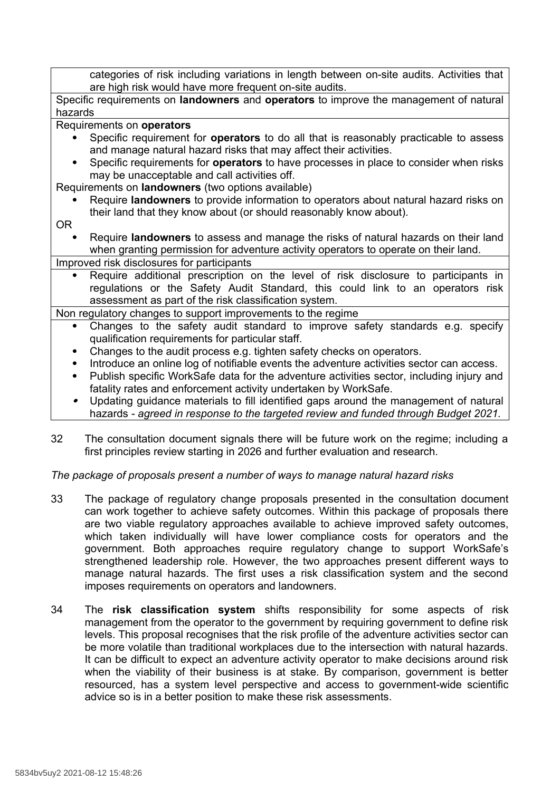categories of risk including variations in length between on-site audits. Activities that are high risk would have more frequent on-site audits.

Specific requirements on **landowners** and **operators** to improve the management of natural hazards

Requirements on **operators**

- Specific requirement for **operators** to do all that is reasonably practicable to assess and manage natural hazard risks that may affect their activities.
- Specific requirements for **operators** to have processes in place to consider when risks may be unacceptable and call activities off.

Requirements on **landowners** (two options available)

- Require **landowners** to provide information to operators about natural hazard risks on their land that they know about (or should reasonably know about).
- OR
	- Require **landowners** to assess and manage the risks of natural hazards on their land when granting permission for adventure activity operators to operate on their land.
- Improved risk disclosures for participants
	- Require additional prescription on the level of risk disclosure to participants in regulations or the Safety Audit Standard, this could link to an operators risk assessment as part of the risk classification system.

Non regulatory changes to support improvements to the regime

- Changes to the safety audit standard to improve safety standards e.g. specify qualification requirements for particular staff.
- Changes to the audit process e.g. tighten safety checks on operators.
- Introduce an online log of notifiable events the adventure activities sector can access.
- Publish specific WorkSafe data for the adventure activities sector, including injury and fatality rates and enforcement activity undertaken by WorkSafe.
- . Updating guidance materials to fill identified gaps around the management of natural hazards *- agreed in response to the targeted review and funded through Budget 2021.*
- 32 The consultation document signals there will be future work on the regime; including a first principles review starting in 2026 and further evaluation and research.

*The package of proposals present a number of ways to manage natural hazard risks*

- 33 The package of regulatory change proposals presented in the consultation document can work together to achieve safety outcomes. Within this package of proposals there are two viable regulatory approaches available to achieve improved safety outcomes, which taken individually will have lower compliance costs for operators and the government. Both approaches require regulatory change to support WorkSafe's strengthened leadership role. However, the two approaches present different ways to manage natural hazards. The first uses a risk classification system and the second imposes requirements on operators and landowners.
- 34 The **risk classification system** shifts responsibility for some aspects of risk management from the operator to the government by requiring government to define risk levels. This proposal recognises that the risk profile of the adventure activities sector can be more volatile than traditional workplaces due to the intersection with natural hazards. It can be difficult to expect an adventure activity operator to make decisions around risk when the viability of their business is at stake. By comparison, government is better resourced, has a system level perspective and access to government-wide scientific advice so is in a better position to make these risk assessments.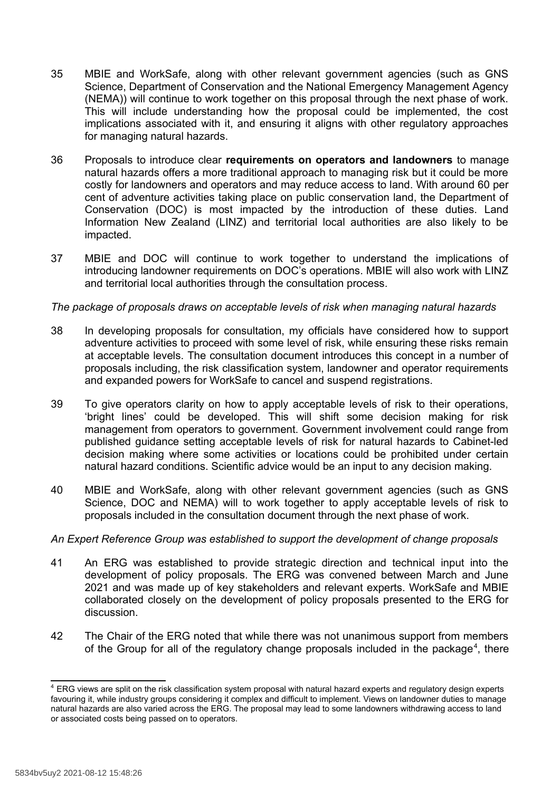- 35 MBIE and WorkSafe, along with other relevant government agencies (such as GNS Science, Department of Conservation and the National Emergency Management Agency (NEMA)) will continue to work together on this proposal through the next phase of work. This will include understanding how the proposal could be implemented, the cost implications associated with it, and ensuring it aligns with other regulatory approaches for managing natural hazards.
- 36 Proposals to introduce clear **requirements on operators and landowners** to manage natural hazards offers a more traditional approach to managing risk but it could be more costly for landowners and operators and may reduce access to land. With around 60 per cent of adventure activities taking place on public conservation land, the Department of Conservation (DOC) is most impacted by the introduction of these duties. Land Information New Zealand (LINZ) and territorial local authorities are also likely to be impacted.
- 37 MBIE and DOC will continue to work together to understand the implications of introducing landowner requirements on DOC's operations. MBIE will also work with LINZ and territorial local authorities through the consultation process.

## *The package of proposals draws on acceptable levels of risk when managing natural hazards*

- 38 In developing proposals for consultation, my officials have considered how to support adventure activities to proceed with some level of risk, while ensuring these risks remain at acceptable levels. The consultation document introduces this concept in a number of proposals including, the risk classification system, landowner and operator requirements and expanded powers for WorkSafe to cancel and suspend registrations.
- 39 To give operators clarity on how to apply acceptable levels of risk to their operations, 'bright lines' could be developed. This will shift some decision making for risk management from operators to government. Government involvement could range from published guidance setting acceptable levels of risk for natural hazards to Cabinet-led decision making where some activities or locations could be prohibited under certain natural hazard conditions. Scientific advice would be an input to any decision making.
- 40 MBIE and WorkSafe, along with other relevant government agencies (such as GNS Science, DOC and NEMA) will to work together to apply acceptable levels of risk to proposals included in the consultation document through the next phase of work.

# *An Expert Reference Group was established to support the development of change proposals*

- 41 An ERG was established to provide strategic direction and technical input into the development of policy proposals. The ERG was convened between March and June 2021 and was made up of key stakeholders and relevant experts. WorkSafe and MBIE collaborated closely on the development of policy proposals presented to the ERG for discussion.
- 42 The Chair of the ERG noted that while there was not unanimous support from members of the Group for all of the regulatory change proposals included in the package<sup>4</sup>, there

<sup>4</sup> ERG views are split on the risk classification system proposal with natural hazard experts and regulatory design experts favouring it, while industry groups considering it complex and difficult to implement. Views on landowner duties to manage natural hazards are also varied across the ERG. The proposal may lead to some landowners withdrawing access to land or associated costs being passed on to operators.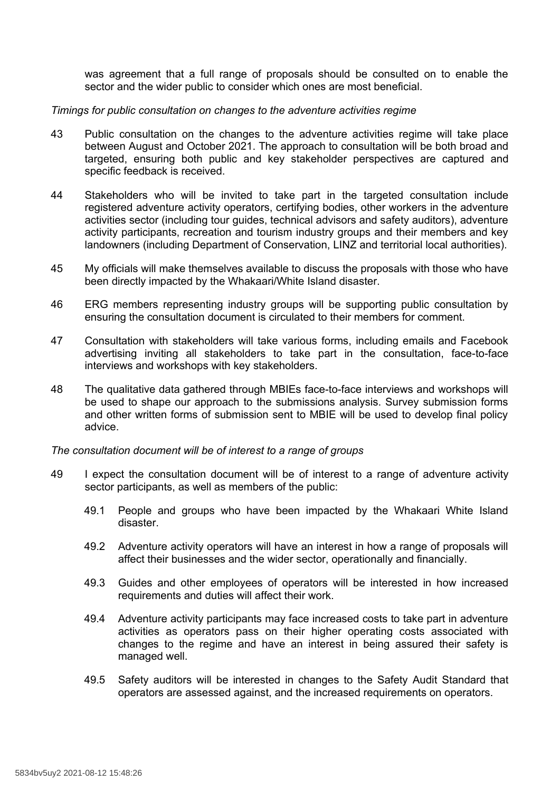was agreement that a full range of proposals should be consulted on to enable the sector and the wider public to consider which ones are most beneficial.

#### *Timings for public consultation on changes to the adventure activities regime*

- 43 Public consultation on the changes to the adventure activities regime will take place between August and October 2021. The approach to consultation will be both broad and targeted, ensuring both public and key stakeholder perspectives are captured and specific feedback is received.
- 44 Stakeholders who will be invited to take part in the targeted consultation include registered adventure activity operators, certifying bodies, other workers in the adventure activities sector (including tour guides, technical advisors and safety auditors), adventure activity participants, recreation and tourism industry groups and their members and key landowners (including Department of Conservation, LINZ and territorial local authorities).
- 45 My officials will make themselves available to discuss the proposals with those who have been directly impacted by the Whakaari/White Island disaster.
- 46 ERG members representing industry groups will be supporting public consultation by ensuring the consultation document is circulated to their members for comment.
- 47 Consultation with stakeholders will take various forms, including emails and Facebook advertising inviting all stakeholders to take part in the consultation, face-to-face interviews and workshops with key stakeholders.
- 48 The qualitative data gathered through MBIEs face-to-face interviews and workshops will be used to shape our approach to the submissions analysis. Survey submission forms and other written forms of submission sent to MBIE will be used to develop final policy advice.

*The consultation document will be of interest to a range of groups*

- 49 I expect the consultation document will be of interest to a range of adventure activity sector participants, as well as members of the public:
	- 49.1 People and groups who have been impacted by the Whakaari White Island disaster.
	- 49.2 Adventure activity operators will have an interest in how a range of proposals will affect their businesses and the wider sector, operationally and financially.
	- 49.3 Guides and other employees of operators will be interested in how increased requirements and duties will affect their work.
	- 49.4 Adventure activity participants may face increased costs to take part in adventure activities as operators pass on their higher operating costs associated with changes to the regime and have an interest in being assured their safety is managed well.
	- 49.5 Safety auditors will be interested in changes to the Safety Audit Standard that operators are assessed against, and the increased requirements on operators.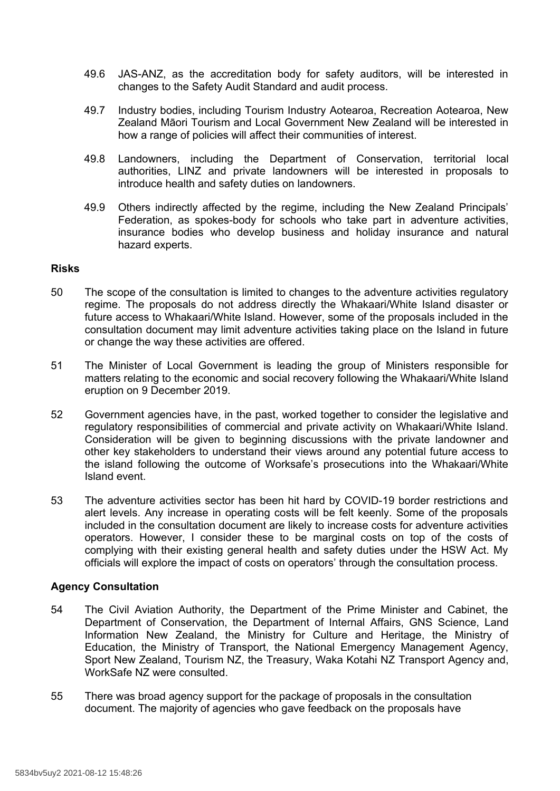- 49.6 JAS-ANZ, as the accreditation body for safety auditors, will be interested in changes to the Safety Audit Standard and audit process.
- 49.7 Industry bodies, including Tourism Industry Aotearoa, Recreation Aotearoa, New Zealand Māori Tourism and Local Government New Zealand will be interested in how a range of policies will affect their communities of interest.
- 49.8 Landowners, including the Department of Conservation, territorial local authorities, LINZ and private landowners will be interested in proposals to introduce health and safety duties on landowners.
- 49.9 Others indirectly affected by the regime, including the New Zealand Principals' Federation, as spokes-body for schools who take part in adventure activities, insurance bodies who develop business and holiday insurance and natural hazard experts.

#### **Risks**

- 50 The scope of the consultation is limited to changes to the adventure activities regulatory regime. The proposals do not address directly the Whakaari/White Island disaster or future access to Whakaari/White Island. However, some of the proposals included in the consultation document may limit adventure activities taking place on the Island in future or change the way these activities are offered.
- 51 The Minister of Local Government is leading the group of Ministers responsible for matters relating to the economic and social recovery following the Whakaari/White Island eruption on 9 December 2019.
- 52 Government agencies have, in the past, worked together to consider the legislative and regulatory responsibilities of commercial and private activity on Whakaari/White Island. Consideration will be given to beginning discussions with the private landowner and other key stakeholders to understand their views around any potential future access to the island following the outcome of Worksafe's prosecutions into the Whakaari/White Island event.
- 53 The adventure activities sector has been hit hard by COVID-19 border restrictions and alert levels. Any increase in operating costs will be felt keenly. Some of the proposals included in the consultation document are likely to increase costs for adventure activities operators. However, I consider these to be marginal costs on top of the costs of complying with their existing general health and safety duties under the HSW Act. My officials will explore the impact of costs on operators' through the consultation process.

## **Agency Consultation**

- 54 The Civil Aviation Authority, the Department of the Prime Minister and Cabinet, the Department of Conservation, the Department of Internal Affairs, GNS Science, Land Information New Zealand, the Ministry for Culture and Heritage, the Ministry of Education, the Ministry of Transport, the National Emergency Management Agency, Sport New Zealand, Tourism NZ, the Treasury, Waka Kotahi NZ Transport Agency and, WorkSafe NZ were consulted.
- 55 There was broad agency support for the package of proposals in the consultation document. The majority of agencies who gave feedback on the proposals have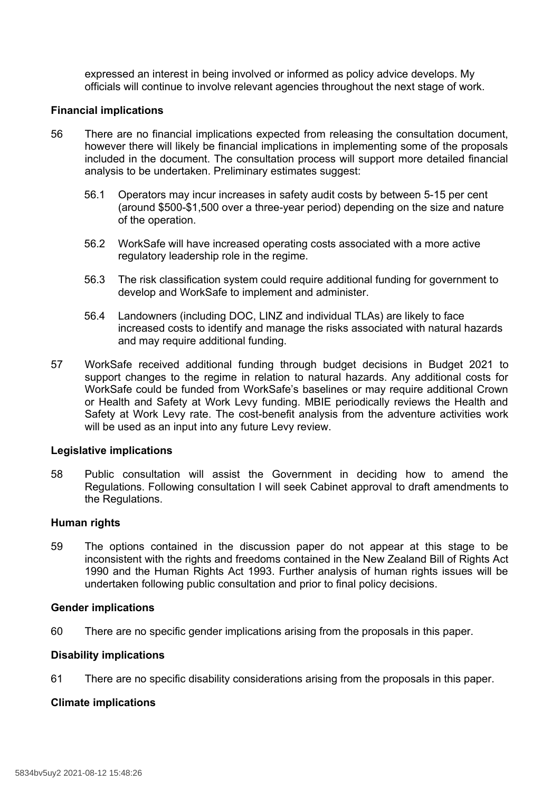expressed an interest in being involved or informed as policy advice develops. My officials will continue to involve relevant agencies throughout the next stage of work.

## **Financial implications**

- 56 There are no financial implications expected from releasing the consultation document, however there will likely be financial implications in implementing some of the proposals included in the document. The consultation process will support more detailed financial analysis to be undertaken. Preliminary estimates suggest:
	- 56.1 Operators may incur increases in safety audit costs by between 5-15 per cent (around \$500-\$1,500 over a three-year period) depending on the size and nature of the operation.
	- 56.2 WorkSafe will have increased operating costs associated with a more active regulatory leadership role in the regime.
	- 56.3 The risk classification system could require additional funding for government to develop and WorkSafe to implement and administer.
	- 56.4 Landowners (including DOC, LINZ and individual TLAs) are likely to face increased costs to identify and manage the risks associated with natural hazards and may require additional funding.
- 57 WorkSafe received additional funding through budget decisions in Budget 2021 to support changes to the regime in relation to natural hazards. Any additional costs for WorkSafe could be funded from WorkSafe's baselines or may require additional Crown or Health and Safety at Work Levy funding. MBIE periodically reviews the Health and Safety at Work Levy rate. The cost-benefit analysis from the adventure activities work will be used as an input into any future Levy review.

#### **Legislative implications**

58 Public consultation will assist the Government in deciding how to amend the Regulations. Following consultation I will seek Cabinet approval to draft amendments to the Regulations.

#### **Human rights**

59 The options contained in the discussion paper do not appear at this stage to be inconsistent with the rights and freedoms contained in the New Zealand Bill of Rights Act 1990 and the Human Rights Act 1993. Further analysis of human rights issues will be undertaken following public consultation and prior to final policy decisions.

#### **Gender implications**

60 There are no specific gender implications arising from the proposals in this paper.

# **Disability implications**

61 There are no specific disability considerations arising from the proposals in this paper.

## **Climate implications**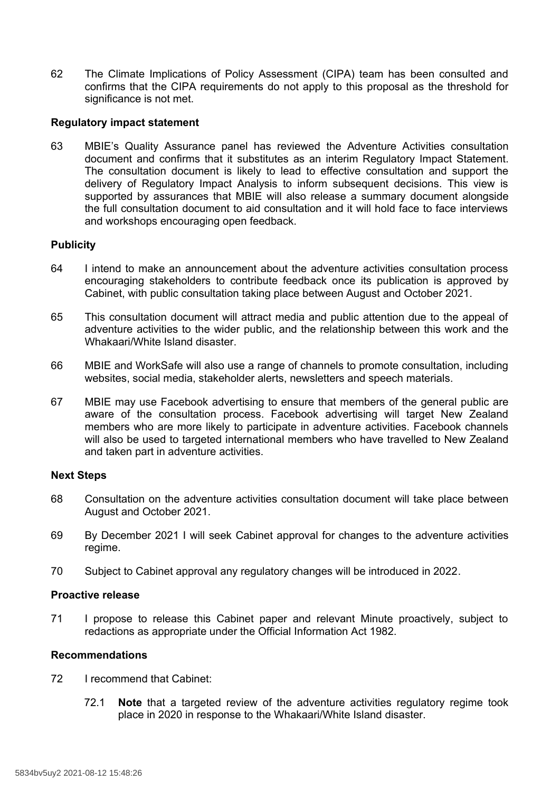62 The Climate Implications of Policy Assessment (CIPA) team has been consulted and confirms that the CIPA requirements do not apply to this proposal as the threshold for significance is not met.

## **Regulatory impact statement**

63 MBIE's Quality Assurance panel has reviewed the Adventure Activities consultation document and confirms that it substitutes as an interim Regulatory Impact Statement. The consultation document is likely to lead to effective consultation and support the delivery of Regulatory Impact Analysis to inform subsequent decisions. This view is supported by assurances that MBIE will also release a summary document alongside the full consultation document to aid consultation and it will hold face to face interviews and workshops encouraging open feedback.

## **Publicity**

- 64 I intend to make an announcement about the adventure activities consultation process encouraging stakeholders to contribute feedback once its publication is approved by Cabinet, with public consultation taking place between August and October 2021.
- 65 This consultation document will attract media and public attention due to the appeal of adventure activities to the wider public, and the relationship between this work and the Whakaari/White Island disaster.
- 66 MBIE and WorkSafe will also use a range of channels to promote consultation, including websites, social media, stakeholder alerts, newsletters and speech materials.
- 67 MBIE may use Facebook advertising to ensure that members of the general public are aware of the consultation process. Facebook advertising will target New Zealand members who are more likely to participate in adventure activities. Facebook channels will also be used to targeted international members who have travelled to New Zealand and taken part in adventure activities.

#### **Next Steps**

- 68 Consultation on the adventure activities consultation document will take place between August and October 2021.
- 69 By December 2021 I will seek Cabinet approval for changes to the adventure activities regime.
- 70 Subject to Cabinet approval any regulatory changes will be introduced in 2022.

## **Proactive release**

71 I propose to release this Cabinet paper and relevant Minute proactively, subject to redactions as appropriate under the Official Information Act 1982.

## **Recommendations**

- 72 I recommend that Cabinet:
	- 72.1 **Note** that a targeted review of the adventure activities regulatory regime took place in 2020 in response to the Whakaari/White Island disaster.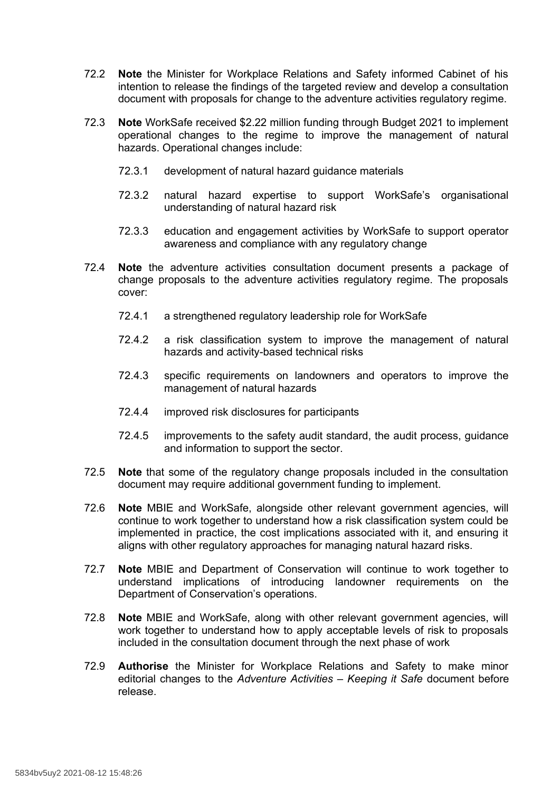- 72.2 **Note** the Minister for Workplace Relations and Safety informed Cabinet of his intention to release the findings of the targeted review and develop a consultation document with proposals for change to the adventure activities regulatory regime.
- 72.3 **Note** WorkSafe received \$2.22 million funding through Budget 2021 to implement operational changes to the regime to improve the management of natural hazards. Operational changes include:
	- 72.3.1 development of natural hazard guidance materials
	- 72.3.2 natural hazard expertise to support WorkSafe's organisational understanding of natural hazard risk
	- 72.3.3 education and engagement activities by WorkSafe to support operator awareness and compliance with any regulatory change
- 72.4 **Note** the adventure activities consultation document presents a package of change proposals to the adventure activities regulatory regime. The proposals cover:
	- 72.4.1 a strengthened regulatory leadership role for WorkSafe
	- 72.4.2 a risk classification system to improve the management of natural hazards and activity-based technical risks
	- 72.4.3 specific requirements on landowners and operators to improve the management of natural hazards
	- 72.4.4 improved risk disclosures for participants
	- 72.4.5 improvements to the safety audit standard, the audit process, guidance and information to support the sector.
- 72.5 **Note** that some of the regulatory change proposals included in the consultation document may require additional government funding to implement.
- 72.6 **Note** MBIE and WorkSafe, alongside other relevant government agencies, will continue to work together to understand how a risk classification system could be implemented in practice, the cost implications associated with it, and ensuring it aligns with other regulatory approaches for managing natural hazard risks.
- 72.7 **Note** MBIE and Department of Conservation will continue to work together to understand implications of introducing landowner requirements on the Department of Conservation's operations.
- 72.8 **Note** MBIE and WorkSafe, along with other relevant government agencies, will work together to understand how to apply acceptable levels of risk to proposals included in the consultation document through the next phase of work
- 72.9 **Authorise** the Minister for Workplace Relations and Safety to make minor editorial changes to the *Adventure Activities – Keeping it Safe* document before release.